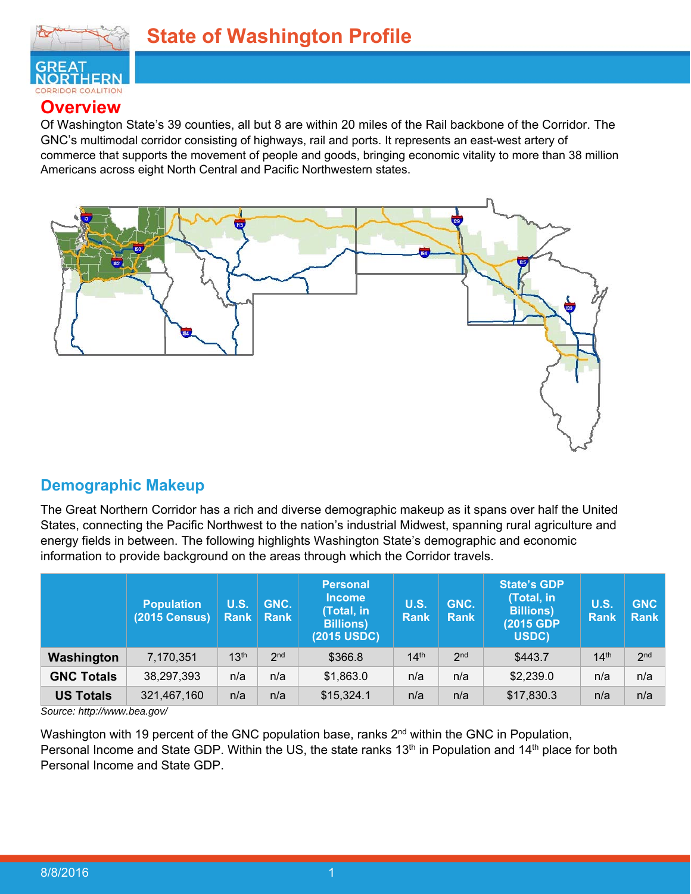

### **Overview**

Of Washington State's 39 counties, all but 8 are within 20 miles of the Rail backbone of the Corridor. The GNC's multimodal corridor consisting of highways, rail and ports. It represents an east-west artery of commerce that supports the movement of people and goods, bringing economic vitality to more than 38 million Americans across eight North Central and Pacific Northwestern states.



### **Demographic Makeup**

The Great Northern Corridor has a rich and diverse demographic makeup as it spans over half the United States, connecting the Pacific Northwest to the nation's industrial Midwest, spanning rural agriculture and energy fields in between. The following highlights Washington State's demographic and economic information to provide background on the areas through which the Corridor travels.

|                   | <b>Population</b><br>(2015 Census) | <b>U.S.</b><br>Rank | GNC.<br>Rank    | <b>Personal</b><br><b>Income</b><br>(Total, in<br><b>Billions)</b><br>(2015 USDC) | U.S.<br><b>Rank</b> | GNC.<br><b>Rank</b> | <b>State's GDP</b><br>(Total, in<br><b>Billions)</b><br>(2015 GDP)<br>USDC) | <b>U.S.</b><br><b>Rank</b> | <b>GNC</b><br><b>Rank</b> |
|-------------------|------------------------------------|---------------------|-----------------|-----------------------------------------------------------------------------------|---------------------|---------------------|-----------------------------------------------------------------------------|----------------------------|---------------------------|
| Washington        | 7,170,351                          | 13 <sup>th</sup>    | 2 <sub>nd</sub> | \$366.8                                                                           | 14 <sup>th</sup>    | 2 <sub>nd</sub>     | \$443.7                                                                     | 14 <sup>th</sup>           | 2 <sub>nd</sub>           |
| <b>GNC Totals</b> | 38,297,393                         | n/a                 | n/a             | \$1,863.0                                                                         | n/a                 | n/a                 | \$2,239.0                                                                   | n/a                        | n/a                       |
| <b>US Totals</b>  | 321,467,160                        | n/a                 | n/a             | \$15,324.1                                                                        | n/a                 | n/a                 | \$17,830.3                                                                  | n/a                        | n/a                       |

*Source: http://www.bea.gov/* 

Washington with 19 percent of the GNC population base, ranks 2<sup>nd</sup> within the GNC in Population, Personal Income and State GDP. Within the US, the state ranks 13<sup>th</sup> in Population and 14<sup>th</sup> place for both Personal Income and State GDP.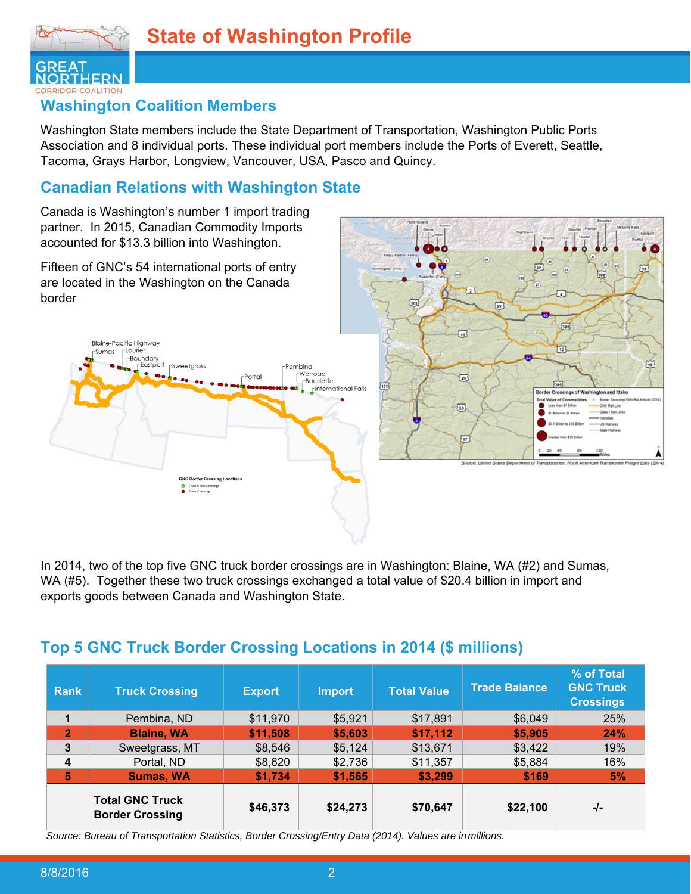

### **Washington Coalition Members**

Washington State members include the State Department of Transportation, Washington Public Ports Association and 8 individual ports. These individual port members include the Ports of Everett, Seattle, Tacoma, Grays Harbor, Longview, Vancouver, USA, Pasco and Quincy.

### **Canadian Relations with Washington State**

Canada is Washington's number 1 import trading partner. In 2015, Canadian Commodity Imports accounted for \$13.3 billion into Washington.

Fifteen of GNC's 54 international ports of entry are located in the Washington on the Canada border



In 2014, two of the top five GNC truck border crossings are in Washington: Blaine, WA (#2) and Sumas, WA (#5). Together these two truck crossings exchanged a total value of \$20.4 billion in import and exports goods between Canada and Washington State.

### **Top 5 GNC Truck Border Crossing Locations in 2014 (\$ millions)**

| Rank                                             | <b>Truck Crossing</b> | <b>Export</b> | <b>Import</b> | <b>Total Value</b> | <b>Trade Balance</b> | % of Total<br><b>GNC Truck</b><br><b>Crossings</b> |
|--------------------------------------------------|-----------------------|---------------|---------------|--------------------|----------------------|----------------------------------------------------|
| 1                                                | Pembina, ND           | \$11,970      | \$5,921       | \$17,891           | \$6,049              | 25%                                                |
| $\overline{2}$                                   | <b>Blaine, WA</b>     | \$11,508      | \$5,603       | \$17,112           | \$5,905              | 24%                                                |
| 3                                                | Sweetgrass, MT        | \$8,546       | \$5,124       | \$13,671           | \$3,422              | 19%                                                |
| 4                                                | Portal, ND            | \$8,620       | \$2,736       | \$11,357           | \$5,884              | 16%                                                |
| 5                                                | <b>Sumas, WA</b>      | \$1,734       | \$1,565       | \$3,299            | \$169                | 5%                                                 |
| <b>Total GNC Truck</b><br><b>Border Crossing</b> |                       | \$46,373      | \$24,273      | \$70,647           | \$22,100             | -/-                                                |

*Source: Bureau of Transportation Statistics, Border Crossing/Entry Data (2014). Values are in millions.*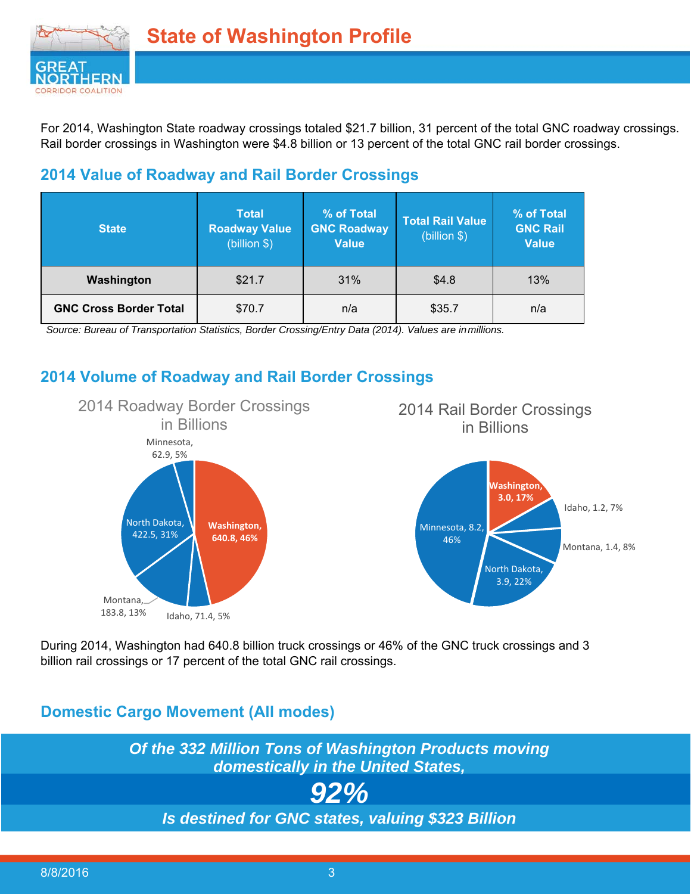

For 2014, Washington State roadway crossings totaled \$21.7 billion, 31 percent of the total GNC roadway crossings. Rail border crossings in Washington were \$4.8 billion or 13 percent of the total GNC rail border crossings.

### **2014 Value of Roadway and Rail Border Crossings**

| <b>State</b>                  | <b>Total</b><br><b>Roadway Value</b><br>(billion \$) | % of Total<br><b>GNC Roadway</b><br><b>Value</b> | <b>Total Rail Value</b><br>(billion \$) | % of Total<br><b>GNC Rail</b><br><b>Value</b> |
|-------------------------------|------------------------------------------------------|--------------------------------------------------|-----------------------------------------|-----------------------------------------------|
| \$21.7<br>Washington          |                                                      | 31%                                              | \$4.8                                   | 13%                                           |
| <b>GNC Cross Border Total</b> | \$70.7                                               | n/a                                              | \$35.7                                  | n/a                                           |

*Source: Bureau of Transportation Statistics, Border Crossing/Entry Data (2014). Values are in millions.* 

### **2014 Volume of Roadway and Rail Border Crossings**



During 2014, Washington had 640.8 billion truck crossings or 46% of the GNC truck crossings and 3 billion rail crossings or 17 percent of the total GNC rail crossings.

### **Domestic Cargo Movement (All modes)**

*Of the 332 Million Tons of Washington Products moving domestically in the United States,* 

# *92%*

*Is destined for GNC states, valuing \$323 Billion*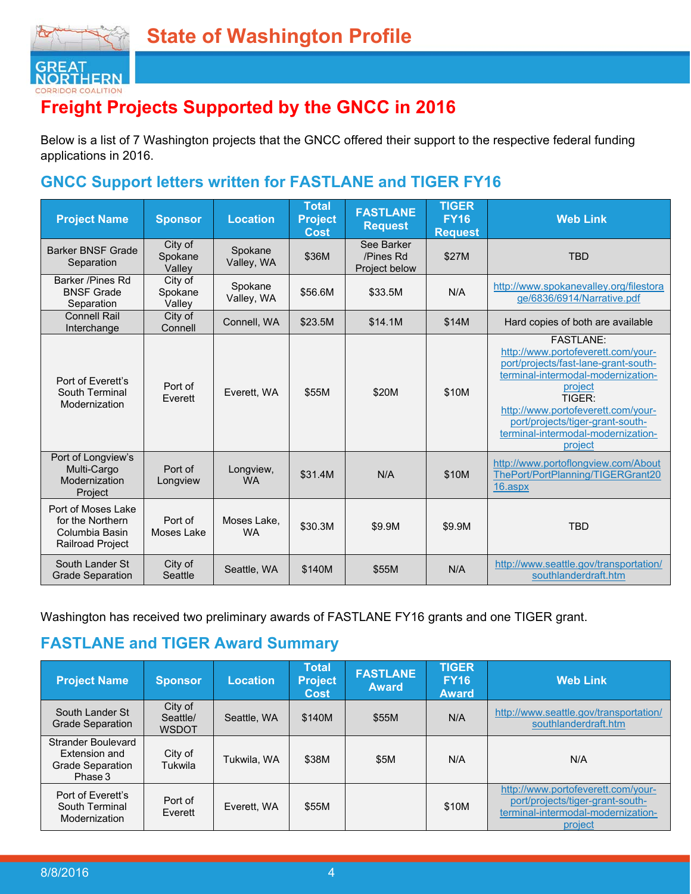

# **Freight Projects Supported by the GNCC in 2016**

Below is a list of 7 Washington projects that the GNCC offered their support to the respective federal funding applications in 2016.

### **GNCC Support letters written for FASTLANE and TIGER FY16**

| <b>Project Name</b>                                                                 | <b>Sponsor</b>               | <b>Location</b>          | <b>Total</b><br><b>Project</b><br><b>Cost</b> | <b>FASTLANE</b><br><b>Request</b>        | <b>TIGER</b><br><b>FY16</b><br><b>Request</b> | <b>Web Link</b>                                                                                                                                                                                                                                                                       |
|-------------------------------------------------------------------------------------|------------------------------|--------------------------|-----------------------------------------------|------------------------------------------|-----------------------------------------------|---------------------------------------------------------------------------------------------------------------------------------------------------------------------------------------------------------------------------------------------------------------------------------------|
| <b>Barker BNSF Grade</b><br>Separation                                              | City of<br>Spokane<br>Valley | Spokane<br>Valley, WA    | \$36M                                         | See Barker<br>/Pines Rd<br>Project below | \$27M                                         | <b>TBD</b>                                                                                                                                                                                                                                                                            |
| Barker /Pines Rd<br><b>BNSF Grade</b><br>Separation                                 | City of<br>Spokane<br>Valley | Spokane<br>Valley, WA    | \$56.6M                                       | \$33.5M                                  | N/A                                           | http://www.spokanevalley.org/filestora<br>ge/6836/6914/Narrative.pdf                                                                                                                                                                                                                  |
| <b>Connell Rail</b><br>Interchange                                                  | City of<br>Connell           | Connell, WA              | \$23.5M                                       | \$14.1M                                  | \$14M                                         | Hard copies of both are available                                                                                                                                                                                                                                                     |
| Port of Fverett's<br>South Terminal<br>Modernization                                | Port of<br>Everett           | Everett. WA              | \$55M                                         | \$20M                                    | \$10M                                         | <b>FASTI ANF:</b><br>http://www.portofeverett.com/your-<br>port/projects/fast-lane-grant-south-<br>terminal-intermodal-modernization-<br>project<br>TIGFR:<br>http://www.portofeverett.com/your-<br>port/projects/tiger-grant-south-<br>terminal-intermodal-modernization-<br>project |
| Port of Longview's<br>Multi-Cargo<br>Modernization<br>Project                       | Port of<br>Longview          | Longview,<br><b>WA</b>   | \$31.4M                                       | N/A                                      | \$10M                                         | http://www.portoflongview.com/About<br>ThePort/PortPlanning/TIGERGrant20<br>16.aspx                                                                                                                                                                                                   |
| Port of Moses Lake<br>for the Northern<br>Columbia Basin<br><b>Railroad Project</b> | Port of<br>Moses Lake        | Moses Lake,<br><b>WA</b> | \$30.3M                                       | \$9.9M                                   | \$9.9M                                        | <b>TBD</b>                                                                                                                                                                                                                                                                            |
| South Lander St<br><b>Grade Separation</b>                                          | City of<br>Seattle           | Seattle, WA              | \$140M                                        | \$55M                                    | N/A                                           | http://www.seattle.gov/transportation/<br>southlanderdraft.htm                                                                                                                                                                                                                        |

Washington has received two preliminary awards of FASTLANE FY16 grants and one TIGER grant.

# **FASTLANE and TIGER Award Summary**

| <b>Project Name</b>                                                       | <b>Sponsor</b>                      | Location    | <b>Total</b><br><b>Project</b><br><b>Cost</b> | <b>FASTLANE</b><br><b>Award</b> | <b>TIGER</b><br><b>FY16</b><br><b>Award</b> | <b>Web Link</b>                                                                                                         |
|---------------------------------------------------------------------------|-------------------------------------|-------------|-----------------------------------------------|---------------------------------|---------------------------------------------|-------------------------------------------------------------------------------------------------------------------------|
| South Lander St<br><b>Grade Separation</b>                                | City of<br>Seattle/<br><b>WSDOT</b> | Seattle, WA | \$140M                                        | \$55M                           | N/A                                         | http://www.seattle.gov/transportation/<br>southlanderdraft.htm                                                          |
| Strander Boulevard<br>Extension and<br><b>Grade Separation</b><br>Phase 3 | City of<br>Tukwila                  | Tukwila, WA | \$38M                                         | \$5M                            | N/A                                         | N/A                                                                                                                     |
| Port of Everett's<br>South Terminal<br>Modernization                      | Port of<br>Everett                  | Everett, WA | \$55M                                         |                                 | \$10M                                       | http://www.portofeverett.com/your-<br>port/projects/tiger-grant-south-<br>terminal-intermodal-modernization-<br>project |